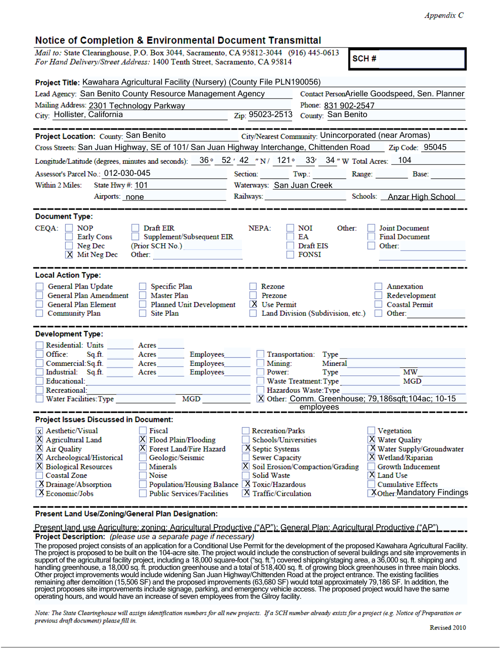## Notice of Completion & Environmental Document Transmittal

| nouoc or completion a Environmental Document Francism                                                                                                              |                                                                                 |                                                      |                                                    |                                                                                                                                                                                                                                                                                        |  |
|--------------------------------------------------------------------------------------------------------------------------------------------------------------------|---------------------------------------------------------------------------------|------------------------------------------------------|----------------------------------------------------|----------------------------------------------------------------------------------------------------------------------------------------------------------------------------------------------------------------------------------------------------------------------------------------|--|
| Mail to: State Clearinghouse, P.O. Box 3044, Sacramento, CA 95812-3044 (916) 445-0613<br>For Hand Delivery/Street Address: 1400 Tenth Street, Sacramento, CA 95814 |                                                                                 |                                                      |                                                    | SCH#                                                                                                                                                                                                                                                                                   |  |
| Project Title: Kawahara Agricultural Facility (Nursery) (County File PLN190056)                                                                                    |                                                                                 |                                                      |                                                    |                                                                                                                                                                                                                                                                                        |  |
| Lead Agency: San Benito County Resource Management Agency                                                                                                          |                                                                                 |                                                      | Contact PersonArielle Goodspeed, Sen. Planner      |                                                                                                                                                                                                                                                                                        |  |
| Mailing Address: 2301 Technology Parkway                                                                                                                           |                                                                                 |                                                      | Phone: 831 902-2547                                |                                                                                                                                                                                                                                                                                        |  |
| City: Hollister, California                                                                                                                                        |                                                                                 | Zip: 95023-2513                                      | County: San Benito                                 |                                                                                                                                                                                                                                                                                        |  |
|                                                                                                                                                                    | _________                                                                       |                                                      |                                                    |                                                                                                                                                                                                                                                                                        |  |
| Project Location: County: San Benito                                                                                                                               |                                                                                 | City/Nearest Community: Unincorporated (near Aromas) |                                                    |                                                                                                                                                                                                                                                                                        |  |
| Cross Streets: San Juan Highway, SE of 101/ San Juan Highway Interchange, Chittenden Road Zip Code: 95045                                                          |                                                                                 |                                                      |                                                    |                                                                                                                                                                                                                                                                                        |  |
| Longitude/Latitude (degrees, minutes and seconds): 36 ° 52 ' 42 "N/ 121 ° 33' 34 "W Total Acres: 104                                                               |                                                                                 |                                                      |                                                    |                                                                                                                                                                                                                                                                                        |  |
| Assessor's Parcel No.: 012-030-045                                                                                                                                 |                                                                                 | Section: Twp.: Range: Base:                          |                                                    |                                                                                                                                                                                                                                                                                        |  |
| Within 2 Miles:<br>State Hwy #: $101$                                                                                                                              |                                                                                 |                                                      | Waterways: San Juan Creek                          |                                                                                                                                                                                                                                                                                        |  |
| Airports: none                                                                                                                                                     |                                                                                 |                                                      | Railways: Schools: Anzar High School               |                                                                                                                                                                                                                                                                                        |  |
|                                                                                                                                                                    |                                                                                 |                                                      |                                                    |                                                                                                                                                                                                                                                                                        |  |
| <b>Document Type:</b>                                                                                                                                              |                                                                                 |                                                      |                                                    |                                                                                                                                                                                                                                                                                        |  |
| $CEQA:$ NOP<br>Early Cons<br>$\Box$ Neg Dec<br>$X$ Mit Neg Dec                                                                                                     | Draft EIR<br>Supplement/Subsequent EIR<br>(Prior SCH No.)<br>Other:             | NEPA:                                                | Other:<br>NOI<br>EA<br>Draft EIS<br><b>FONSI</b>   | Joint Document<br><b>Final Document</b><br>Other:                                                                                                                                                                                                                                      |  |
| <b>Local Action Type:</b><br>General Plan Update<br>General Plan Amendment<br>General Plan Element<br><b>Community Plan</b>                                        | Specific Plan<br>Master Plan<br>Planned Unit Development<br>Site Plan<br>$\Box$ | Rezone<br>Prezone<br>X Use Permit                    | Land Division (Subdivision, etc.)                  | Annexation<br>Redevelopment<br><b>Coastal Permit</b><br>Other: The Contract of the Contract of the Contract of the Contract of the Contract of the Contract of the Contract of the Contract of the Contract of the Contract of the Contract of the Contract of the Contract of the Con |  |
| <b>Development Type:</b>                                                                                                                                           |                                                                                 |                                                      |                                                    |                                                                                                                                                                                                                                                                                        |  |
| <b>Residential: Units</b>                                                                                                                                          | Acres                                                                           |                                                      |                                                    |                                                                                                                                                                                                                                                                                        |  |
| Office:<br>Sq.ft.                                                                                                                                                  | Acres<br><b>Employees</b>                                                       |                                                      | Transportation: Type                               |                                                                                                                                                                                                                                                                                        |  |
| Commercial:Sq.ft. Acres                                                                                                                                            | Employees                                                                       | Mining:                                              | Mineral                                            |                                                                                                                                                                                                                                                                                        |  |
| Industrial: Sq.ft.                                                                                                                                                 | Employees<br>Acres                                                              | Power:                                               | Type                                               | <b>MW</b>                                                                                                                                                                                                                                                                              |  |
| Educational:<br>Recreational:                                                                                                                                      |                                                                                 |                                                      | Waste Treatment: Type<br>Hazardous Waste: Type     | MGD                                                                                                                                                                                                                                                                                    |  |
| Water Facilities: Type                                                                                                                                             | MGD                                                                             |                                                      | X Other: Comm. Greenhouse; 79,186sqft;104ac; 10-15 |                                                                                                                                                                                                                                                                                        |  |
|                                                                                                                                                                    |                                                                                 |                                                      | employees                                          |                                                                                                                                                                                                                                                                                        |  |
| <b>Project Issues Discussed in Document:</b>                                                                                                                       |                                                                                 |                                                      |                                                    |                                                                                                                                                                                                                                                                                        |  |
| X Aesthetic/Visual                                                                                                                                                 | Fiscal                                                                          | <b>Recreation/Parks</b>                              |                                                    | Vegetation                                                                                                                                                                                                                                                                             |  |
| X Agricultural Land                                                                                                                                                | X Flood Plain/Flooding                                                          | Schools/Universities                                 |                                                    | X Water Quality                                                                                                                                                                                                                                                                        |  |
| X Air Quality                                                                                                                                                      | X Forest Land/Fire Hazard                                                       | X Septic Systems                                     |                                                    | X Water Supply/Groundwater                                                                                                                                                                                                                                                             |  |
| X Archeological/Historical                                                                                                                                         | Geologic/Seismic                                                                | <b>Sewer Capacity</b>                                |                                                    | X Wetland/Riparian                                                                                                                                                                                                                                                                     |  |
| <b>X</b> Biological Resources                                                                                                                                      | <b>Minerals</b>                                                                 |                                                      | X Soil Erosion/Compaction/Grading                  | Growth Inducement                                                                                                                                                                                                                                                                      |  |
| <b>Coastal Zone</b>                                                                                                                                                | Noise                                                                           | Solid Waste                                          |                                                    | <b>X</b> Land Use                                                                                                                                                                                                                                                                      |  |
| X Drainage/Absorption                                                                                                                                              |                                                                                 | Population/Housing Balance   X Toxic/Hazardous       |                                                    | <b>Cumulative Effects</b>                                                                                                                                                                                                                                                              |  |
| X Economic/Jobs                                                                                                                                                    | <b>Public Services/Facilities</b>                                               | <b>X</b> Traffic/Circulation                         |                                                    | <b>Xother:</b> Mandatory Findings                                                                                                                                                                                                                                                      |  |

Present Land Use/Zoning/General Plan Designation:

Present land use Agriculture; zoning: Agricultural Productive ("AP"); General Plan: Agricultural Productive ("AP")<br>Project Description: (please use a separate page if necessary)

The proposed project consists of an application for a Conditional Use Permit for the development of the proposed Kawahara Agricultural Facility. The project is proposed to be built on the 104-acre site. The project would include the construction of several buildings and site improvements in support of the agricultural facility project, including a 18,000 square-foot ("sq. ft.") covered shipping/staging area, a 36,000 sq. ft. shipping and handling greenhouse, a 18,000 sq. ft. production greenhouse and a total of 518,400 sq. ft. of growing block greenhouses in three main blocks. Other project improvements would include widening San Juan Highway/Chittenden Road at the project entrance. The existing facilities remaining after demolition (15,506 SF) and the proposed improvements (63,680 SF) would total approximately 79,186 SF. In addition, the project proposes site improvements include signage, parking, and emergency vehicle access. The proposed project would have the same operating hours, and would have an increase of seven employees from the Gilroy facility.

Note: The State Clearinghouse will assign identification numbers for all new projects. If a SCH number already exists for a project (e.g. Notice of Preparation or previous draft document) please fill in.